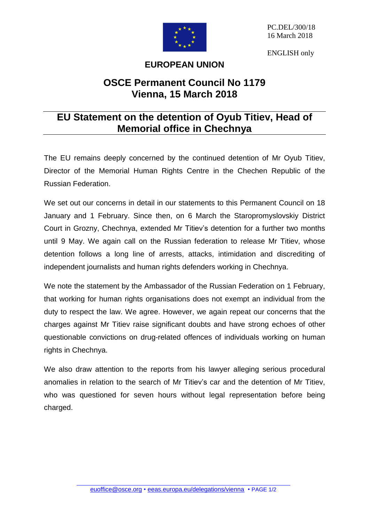

ENGLISH only

## **EUROPEAN UNION**

## **OSCE Permanent Council No 1179 Vienna, 15 March 2018**

## **EU Statement on the detention of Oyub Titiev, Head of Memorial office in Chechnya**

The EU remains deeply concerned by the continued detention of Mr Oyub Titiev, Director of the Memorial Human Rights Centre in the Chechen Republic of the Russian Federation.

We set out our concerns in detail in our statements to this Permanent Council on 18 January and 1 February. Since then, on 6 March the Staropromyslovskiy District Court in Grozny, Chechnya, extended Mr Titiev's detention for a further two months until 9 May. We again call on the Russian federation to release Mr Titiev, whose detention follows a long line of arrests, attacks, intimidation and discrediting of independent journalists and human rights defenders working in Chechnya.

We note the statement by the Ambassador of the Russian Federation on 1 February, that working for human rights organisations does not exempt an individual from the duty to respect the law. We agree. However, we again repeat our concerns that the charges against Mr Titiev raise significant doubts and have strong echoes of other questionable convictions on drug-related offences of individuals working on human rights in Chechnya.

We also draw attention to the reports from his lawyer alleging serious procedural anomalies in relation to the search of Mr Titiev's car and the detention of Mr Titiev, who was questioned for seven hours without legal representation before being charged.